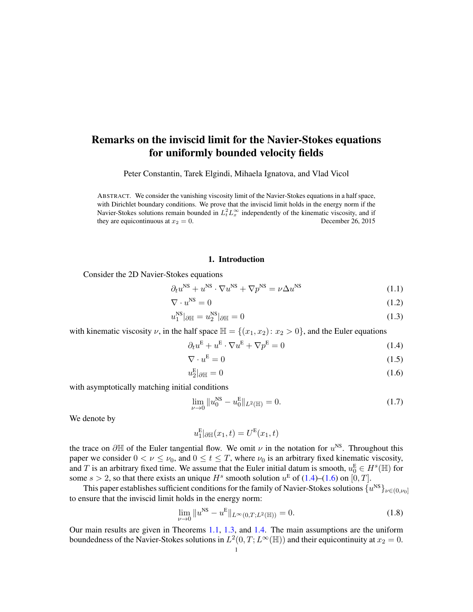# Remarks on the inviscid limit for the Navier-Stokes equations for uniformly bounded velocity fields

Peter Constantin, Tarek Elgindi, Mihaela Ignatova, and Vlad Vicol

ABSTRACT. We consider the vanishing viscosity limit of the Navier-Stokes equations in a half space, with Dirichlet boundary conditions. We prove that the inviscid limit holds in the energy norm if the Navier-Stokes solutions remain bounded in  $L_t^2 L_x^{\infty}$  independently of the kinematic viscosity, and if they are equicontinuous at  $x_2 = 0$ . December 26, 2015

#### <span id="page-0-4"></span><span id="page-0-0"></span>1. Introduction

Consider the 2D Navier-Stokes equations

 $\partial_t u^{\text{NS}} + u^{\text{NS}} \cdot \nabla u^{\text{NS}} + \nabla p^{\text{NS}} = \nu \Delta u$  $(1.1)$ 

$$
\nabla \cdot u^{\text{NS}} = 0 \tag{1.2}
$$

$$
u_1^{\rm NS} |_{\partial \mathbb{H}} = u_2^{\rm NS} |_{\partial \mathbb{H}} = 0 \tag{1.3}
$$

with kinematic viscosity  $\nu$ , in the half space  $\mathbb{H} = \{(x_1, x_2): x_2 > 0\}$ , and the Euler equations

$$
\partial_t u^{\mathcal{E}} + u^{\mathcal{E}} \cdot \nabla u^{\mathcal{E}} + \nabla p^{\mathcal{E}} = 0 \tag{1.4}
$$

$$
\nabla \cdot u^{\mathcal{E}} = 0 \tag{1.5}
$$

$$
u_2^{\mathcal{E}}|_{\partial \mathbb{H}} = 0 \tag{1.6}
$$

with asymptotically matching initial conditions

<span id="page-0-3"></span><span id="page-0-1"></span>
$$
\lim_{\nu \to 0} \|u_0^{\text{NS}} - u_0^{\text{E}}\|_{L^2(\mathbb{H})} = 0. \tag{1.7}
$$

We denote by

<span id="page-0-2"></span>
$$
u_1^{\mathsf{E}}|_{\partial\mathbb{H}}(x_1,t)=U^{\mathsf{E}}(x_1,t)
$$

the trace on  $\partial \mathbb{H}$  of the Euler tangential flow. We omit  $\nu$  in the notation for  $u^{NS}$ . Throughout this paper we consider  $0 < \nu \leq \nu_0$ , and  $0 \leq t \leq T$ , where  $\nu_0$  is an arbitrary fixed kinematic viscosity, and T is an arbitrary fixed time. We assume that the Euler initial datum is smooth,  $u_0^E \in H^s(\mathbb{H})$  for some  $s > 2$ , so that there exists an unique  $H^s$  smooth solution  $u^E$  of [\(1.4\)](#page-0-0)–[\(1.6\)](#page-0-1) on [0, T].

This paper establishes sufficient conditions for the family of Navier-Stokes solutions  $\{u^{\rm NS}\}_{\nu\in(0,\nu_0]}$ to ensure that the inviscid limit holds in the energy norm:

$$
\lim_{\nu \to 0} \|u^{\rm NS} - u^{\rm E}\|_{L^\infty(0,T;L^2(\mathbb{H}))} = 0.
$$
\n(1.8)

Our main results are given in Theorems [1.1,](#page-2-0) [1.3,](#page-2-1) and [1.4.](#page-3-0) The main assumptions are the uniform boundedness of the Navier-Stokes solutions in  $L^2(0,T;L^\infty(\mathbb{H}))$  and their equicontinuity at  $x_2=0$ .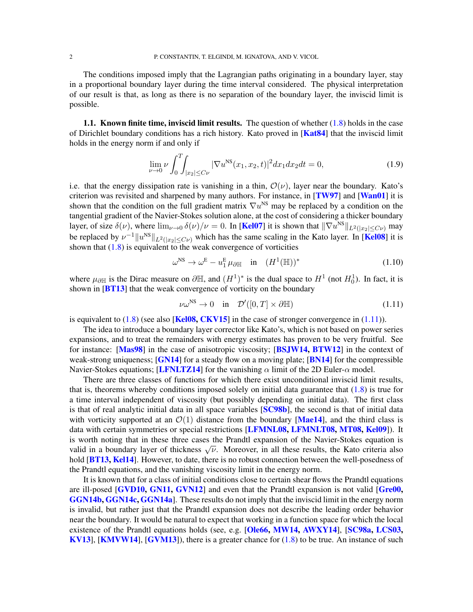The conditions imposed imply that the Lagrangian paths originating in a boundary layer, stay in a proportional boundary layer during the time interval considered. The physical interpretation of our result is that, as long as there is no separation of the boundary layer, the inviscid limit is possible.

1.1. Known finite time, inviscid limit results. The question of whether  $(1.8)$  holds in the case of Dirichlet boundary conditions has a rich history. Kato proved in [[Kat84](#page-13-0)] that the inviscid limit holds in the energy norm if and only if

$$
\lim_{\nu \to 0} \nu \int_0^T \int_{|x_2| \le C\nu} |\nabla u^{\text{NS}}(x_1, x_2, t)|^2 dx_1 dx_2 dt = 0,
$$
\n(1.9)

i.e. that the energy dissipation rate is vanishing in a thin,  $\mathcal{O}(\nu)$ , layer near the boundary. Kato's criterion was revisited and sharpened by many authors. For instance, in  $[TW97]$  $[TW97]$  $[TW97]$  and  $[Wan01]$  $[Wan01]$  $[Wan01]$  it is shown that the condition on the full gradient matrix  $\nabla u^{\text{NS}}$  may be replaced by a condition on the tangential gradient of the Navier-Stokes solution alone, at the cost of considering a thicker boundary layer, of size  $\delta(\nu)$ , where  $\lim_{\nu\to 0} \delta(\nu)/\nu = 0$ . In [[Kel07](#page-13-1)] it is shown that  $\|\nabla u^{\text{NS}}\|_{L^2(|x_2| \le C\nu)}$  may be replaced by  $\nu^{-1}||u^{NS}||_{L^2(|x_2| \le C\nu)}$  which has the same scaling in the Kato layer. In [[Kel08](#page-13-2)] it is shown that  $(1.8)$  is equivalent to the weak convergence of vorticities

<span id="page-1-1"></span>
$$
\omega^{\rm NS} \to \omega^{\rm E} - u_1^{\rm E} \,\mu_{\partial \mathbb{H}} \quad \text{in} \quad (H^1(\mathbb{H}))^* \tag{1.10}
$$

where  $\mu_{\partial \mathbb{H}}$  is the Dirac measure on  $\partial \mathbb{H}$ , and  $(H^1)^*$  is the dual space to  $H^1$  (not  $H_0^1$ ). In fact, it is shown in  $[BT13]$  $[BT13]$  $[BT13]$  that the weak convergence of vorticity on the boundary

<span id="page-1-0"></span>
$$
\nu\omega^{\rm NS} \to 0 \quad \text{in} \quad \mathcal{D}'([0,T] \times \partial \mathbb{H}) \tag{1.11}
$$

is equivalent to  $(1.8)$  (see also [[Kel08,](#page-13-2) [CKV15](#page-12-1)] in the case of stronger convergence in  $(1.11)$ ).

The idea to introduce a boundary layer corrector like Kato's, which is not based on power series expansions, and to treat the remainders with energy estimates has proven to be very fruitful. See for instance: [[Mas98](#page-13-3)] in the case of anisotropic viscosity; [[BSJW14,](#page-12-2) [BTW12](#page-12-3)] in the context of weak-strong uniqueness;  $[GN14]$  $[GN14]$  $[GN14]$  for a steady flow on a moving plate;  $[BN14]$  $[BN14]$  $[BN14]$  for the compressible Navier-Stokes equations; [[LFNLTZ14](#page-13-5)] for the vanishing  $\alpha$  limit of the 2D Euler- $\alpha$  model.

There are three classes of functions for which there exist unconditional inviscid limit results, that is, theorems whereby conditions imposed solely on initial data guarantee that  $(1.8)$  is true for a time interval independent of viscosity (but possibly depending on initial data). The first class is that of real analytic initial data in all space variables [[SC98b](#page-14-2)], the second is that of initial data with vorticity supported at an  $\mathcal{O}(1)$  distance from the boundary [[Mae14](#page-13-6)], and the third class is data with certain symmetries or special restrictions [[LFMNL08,](#page-13-7) [LFMNLT08,](#page-13-8) [MT08,](#page-13-9) [Kel09](#page-13-10)]). It is worth noting that in these three cases the Prandtl expansion of the Navier-Stokes equation is is worth noting that in these three cases the Franch expansion of the Navier-Stokes equation is<br>valid in a boundary layer of thickness  $\sqrt{\nu}$ . Moreover, in all these results, the Kato criteria also hold [[BT13,](#page-12-0) [Kel14](#page-13-11)]. However, to date, there is no robust connection between the well-posedness of the Prandtl equations, and the vanishing viscosity limit in the energy norm.

It is known that for a class of initial conditions close to certain shear flows the Prandtl equations are ill-posed **[[GVD10,](#page-13-12) [GN11,](#page-13-13) [GVN12](#page-13-14)]** and even that the Prandtl expansion is not valid **[[Gre00,](#page-13-15)** [GGN14b,](#page-13-16) [GGN14c,](#page-13-17) [GGN14a](#page-13-18)]. These results do not imply that the inviscid limit in the energy norm is invalid, but rather just that the Prandtl expansion does not describe the leading order behavior near the boundary. It would be natural to expect that working in a function space for which the local existence of the Prandtl equations holds (see, e.g. **[[Ole66,](#page-13-19) [MW14,](#page-13-20) [AWXY14](#page-12-5)]**, **[[SC98a,](#page-13-21) [LCS03,](#page-13-22)** [KV13](#page-13-23)], [[KMVW14](#page-13-24)], [[GVM13](#page-13-25)]), there is a greater chance for [\(1.8\)](#page-0-2) to be true. An instance of such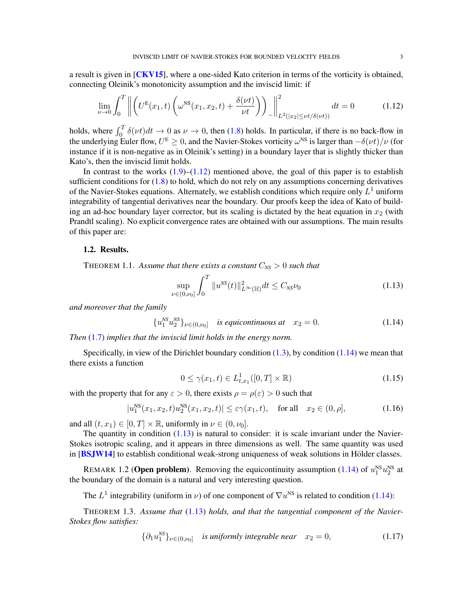a result is given in  $\lceil CKV15 \rceil$  $\lceil CKV15 \rceil$  $\lceil CKV15 \rceil$ , where a one-sided Kato criterion in terms of the vorticity is obtained, connecting Oleinik's monotonicity assumption and the inviscid limit: if

$$
\lim_{\nu \to 0} \int_0^T \left\| \left( U^{\mathcal{E}}(x_1, t) \left( \omega^{\mathcal{NS}}(x_1, x_2, t) + \frac{\delta(\nu t)}{\nu t} \right) \right) \right\|_{L^2(|x_2| \le \nu t/\delta(\nu t))}^2 dt = 0 \tag{1.12}
$$

holds, where  $\int_0^T \delta(\nu t)dt \to 0$  as  $\nu \to 0$ , then [\(1.8\)](#page-0-2) holds. In particular, if there is no back-flow in the underlying Euler flow,  $U^E \ge 0$ , and the Navier-Stokes vorticity  $\omega^{NS}$  is larger than  $-\delta(\nu t)/\nu$  (for instance if it is non-negative as in Oleinik's setting) in a boundary layer that is slightly thicker than Kato's, then the inviscid limit holds.

In contrast to the works  $(1.9)$ – $(1.12)$  mentioned above, the goal of this paper is to establish sufficient conditions for  $(1.8)$  to hold, which do not rely on any assumptions concerning derivatives of the Navier-Stokes equations. Alternately, we establish conditions which require only  $L^1$  uniform integrability of tangential derivatives near the boundary. Our proofs keep the idea of Kato of building an ad-hoc boundary layer corrector, but its scaling is dictated by the heat equation in  $x_2$  (with Prandtl scaling). No explicit convergence rates are obtained with our assumptions. The main results of this paper are:

#### 1.2. Results.

<span id="page-2-0"></span>THEOREM 1.1. Assume that there exists a constant  $C_{NS} > 0$  such that

<span id="page-2-4"></span><span id="page-2-2"></span>
$$
\sup_{\nu \in (0,\nu_0]} \int_0^T \|u^{NS}(t)\|_{L^\infty(\mathbb{H})}^2 dt \le C_{NS} \nu_0 \tag{1.13}
$$

*and moreover that the family*

$$
\{u_1^{NS} u_2^{NS}\}_{\nu \in (0,\nu_0]} \quad \text{is equicontinuous at} \quad x_2 = 0. \tag{1.14}
$$

*Then* [\(1.7\)](#page-0-3) *implies that the inviscid limit holds in the energy norm.*

Specifically, in view of the Dirichlet boundary condition  $(1.3)$ , by condition  $(1.14)$  we mean that there exists a function

<span id="page-2-6"></span><span id="page-2-3"></span>
$$
0 \le \gamma(x_1, t) \in L^1_{t, x_1}([0, T] \times \mathbb{R})
$$
\n(1.15)

with the property that for any  $\varepsilon > 0$ , there exists  $\rho = \rho(\varepsilon) > 0$  such that

$$
|u_1^{\text{NS}}(x_1, x_2, t)u_2^{\text{NS}}(x_1, x_2, t)| \le \varepsilon \gamma(x_1, t), \quad \text{for all} \quad x_2 \in (0, \rho], \tag{1.16}
$$

and all  $(t, x_1) \in [0, T] \times \mathbb{R}$ , uniformly in  $\nu \in (0, \nu_0]$ .

The quantity in condition  $(1.13)$  is natural to consider: it is scale invariant under the Navier-Stokes isotropic scaling, and it appears in three dimensions as well. The same quantity was used in  $[BSJW14]$  $[BSJW14]$  $[BSJW14]$  to establish conditional weak-strong uniqueness of weak solutions in Hölder classes.

REMARK 1.2 (**Open problem**). Removing the equicontinuity assumption [\(1.14\)](#page-2-3) of  $u_1^{NS}u_2^{NS}$  at the boundary of the domain is a natural and very interesting question.

The  $L^1$  integrability (uniform in  $\nu$ ) of one component of  $\nabla u^{NS}$  is related to condition [\(1.14\)](#page-2-3):

<span id="page-2-1"></span>THEOREM 1.3. *Assume that* [\(1.13\)](#page-2-4) *holds, and that the tangential component of the Navier-Stokes flow satisfies:*

<span id="page-2-5"></span>
$$
\{\partial_1 u_1^{NS}\}_{\nu \in (0,\nu_0]} \quad \text{is uniformly integrable near} \quad x_2 = 0,\tag{1.17}
$$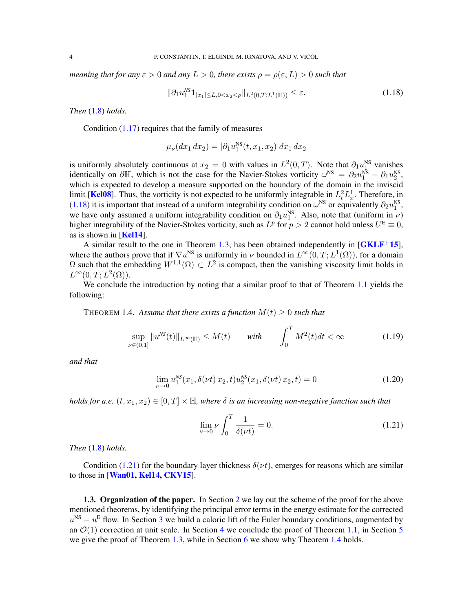*meaning that for any*  $\varepsilon > 0$  *and any*  $L > 0$ *, there exists*  $\rho = \rho(\varepsilon, L) > 0$  *such that* 

<span id="page-3-1"></span>
$$
\|\partial_1 u_1^{NS} \mathbf{1}_{|x_1| \le L, 0 < x_2 < \rho} \|_{L^2(0, T; L^1(\mathbb{H}))} \le \varepsilon. \tag{1.18}
$$

*Then* [\(1.8\)](#page-0-2) *holds.*

Condition  $(1.17)$  requires that the family of measures

$$
\mu_{\nu}(dx_1 dx_2) = |\partial_1 u_1^{\text{NS}}(t, x_1, x_2)| dx_1 dx_2
$$

is uniformly absolutely continuous at  $x_2 = 0$  with values in  $L^2(0,T)$ . Note that  $\partial_1 u_1^{\text{NS}}$  vanishes identically on  $\partial \mathbb{H}$ , which is not the case for the Navier-Stokes vorticity  $\omega^{NS} = \partial_2 u_1^{NS} - \partial_1 u_2^{NS}$ , which is expected to develop a measure supported on the boundary of the domain in the inviscid limit [[Kel08](#page-13-2)]. Thus, the vorticity is not expected to be uniformly integrable in  $L_t^2 L_x^1$ . Therefore, in [\(1.18\)](#page-3-1) it is important that instead of a uniform integrability condition on  $\omega^{NS}$  or equivalently  $\partial_2 u_1^{NS}$ , (1.16) it is important that instead of a uniform integrability condition on  $\omega$  or equivalently  $\omega_2 a_1$ , we have only assumed a uniform integrability condition on  $\partial_1 u_1^{NS}$ . Also, note that (uniform in  $\nu$ ) higher integrability of the Navier-Stokes vorticity, such as  $L^p$  for  $p > 2$  cannot hold unless  $U^E \equiv 0$ , as is shown in  $[Kel14]$  $[Kel14]$  $[Kel14]$ .

A similar result to the one in Theorem [1.3,](#page-2-1) has been obtained independently in  $[GKLF^+15]$  $[GKLF^+15]$  $[GKLF^+15]$ , where the authors prove that if  $\nabla u^{NS}$  is uniformly in  $\nu$  bounded in  $L^{\infty}(0,T; L^{1}(\Omega))$ , for a domain  $\Omega$  such that the embedding  $W^{1,1}(\Omega) \subset L^2$  is compact, then the vanishing viscosity limit holds in  $L^{\infty}(0,T;L^2(\Omega)).$ 

We conclude the introduction by noting that a similar proof to that of Theorem [1.1](#page-2-0) yields the following:

<span id="page-3-0"></span>THEOREM 1.4. Assume that there exists a function  $M(t) \geq 0$  such that

$$
\sup_{\nu \in (0,1]} \|u^{NS}(t)\|_{L^{\infty}(\mathbb{H})} \le M(t) \quad \text{with} \quad \int_{0}^{T} M^{2}(t)dt < \infty \tag{1.19}
$$

*and that*

$$
\lim_{\nu \to 0} u_1^{NS}(x_1, \delta(\nu t) x_2, t) u_2^{NS}(x_1, \delta(\nu t) x_2, t) = 0 \tag{1.20}
$$

*holds for a.e.*  $(t, x_1, x_2) \in [0, T] \times \mathbb{H}$ , where  $\delta$  *is an increasing non-negative function such that* 

<span id="page-3-4"></span><span id="page-3-3"></span><span id="page-3-2"></span>
$$
\lim_{\nu \to 0} \nu \int_0^T \frac{1}{\delta(\nu t)} = 0.
$$
\n(1.21)

*Then* [\(1.8\)](#page-0-2) *holds.*

Condition [\(1.21\)](#page-3-2) for the boundary layer thickness  $\delta(\nu t)$ , emerges for reasons which are similar to those in [[Wan01,](#page-14-1) [Kel14,](#page-13-11) [CKV15](#page-12-1)].

1.3. Organization of the paper. In Section [2](#page-4-0) we lay out the scheme of the proof for the above mentioned theorems, by identifying the principal error terms in the energy estimate for the corrected  $u^{NS} - u^{E}$  flow. In Section [3](#page-5-0) we build a caloric lift of the Euler boundary conditions, augmented by an  $\mathcal{O}(1)$  correction at unit scale. In Section [4](#page-7-0) we conclude the proof of Theorem [1.1,](#page-2-0) in Section [5](#page-10-0) we give the proof of Theorem [1.3,](#page-2-1) while in Section [6](#page-11-0) we show why Theorem [1.4](#page-3-0) holds.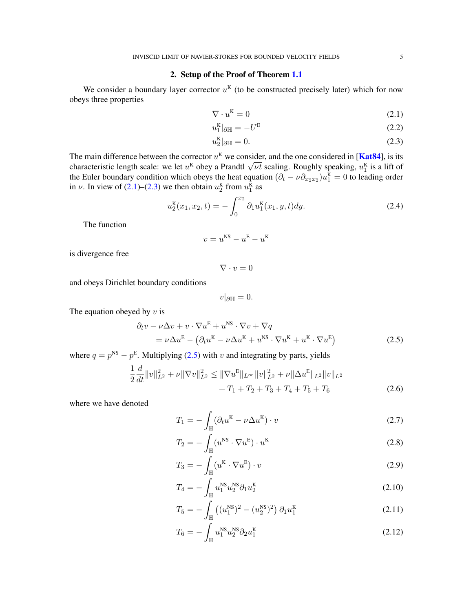# 2. Setup of the Proof of Theorem [1.1](#page-2-0)

<span id="page-4-0"></span>We consider a boundary layer corrector  $u<sup>K</sup>$  (to be constructed precisely later) which for now obeys three properties

<span id="page-4-1"></span>
$$
\nabla \cdot u^{\mathbf{K}} = 0 \tag{2.1}
$$

$$
u_1^{\mathbf{K}}|_{\partial \mathbb{H}} = -U^{\mathbf{E}} \tag{2.2}
$$

<span id="page-4-6"></span><span id="page-4-2"></span>
$$
u_2^{\mathbf{K}}|_{\partial \mathbb{H}} = 0. \tag{2.3}
$$

The main difference between the corrector  $u^{K}$  we consider, and the one considered in [[Kat84](#page-13-0)], is its The main difference between the corrector u<sup>1</sup> we consider, and the one considered in [**Nato4**], is its characteristic length scale: we let  $u^k$  obey a Prandtl  $\sqrt{\nu t}$  scaling. Roughly speaking,  $u_1^k$  is a lift of the Euler boundary condition which obeys the heat equation  $(\partial_t - \nu \partial_{x_2 x_2}) u_1^{\mathbf{K}} = 0$  to leading order in  $\nu$ . In view of [\(2.1\)](#page-4-1)–[\(2.3\)](#page-4-2) we then obtain  $u_2^{\text{K}}$  from  $u_1^{\text{K}}$  as

$$
u_2^{\mathbf{K}}(x_1, x_2, t) = -\int_0^{x_2} \partial_1 u_1^{\mathbf{K}}(x_1, y, t) dy.
$$
 (2.4)

The function

$$
v = u^{\text{NS}} - u^{\text{E}} - u^{\text{K}}
$$

is divergence free

<span id="page-4-4"></span> $\nabla \cdot v = 0$ 

and obeys Dirichlet boundary conditions

<span id="page-4-7"></span><span id="page-4-5"></span><span id="page-4-3"></span>
$$
v|_{\partial\mathbb{H}}=0.
$$

The equation obeyed by  $v$  is

$$
\partial_t v - \nu \Delta v + v \cdot \nabla u^{\mathcal{E}} + u^{\mathcal{NS}} \cdot \nabla v + \nabla q
$$
  
=  $\nu \Delta u^{\mathcal{E}} - (\partial_t u^{\mathcal{K}} - \nu \Delta u^{\mathcal{K}} + u^{\mathcal{NS}} \cdot \nabla u^{\mathcal{K}} + u^{\mathcal{K}} \cdot \nabla u^{\mathcal{E}})$  (2.5)

where  $q = p^{NS} - p^{E}$ . Multiplying [\(2.5\)](#page-4-3) with v and integrating by parts, yields

$$
\frac{1}{2}\frac{d}{dt}\|v\|_{L^{2}}^{2} + \nu\|\nabla v\|_{L^{2}}^{2} \leq \|\nabla u^{E}\|_{L^{\infty}}\|v\|_{L^{2}}^{2} + \nu\|\Delta u^{E}\|_{L^{2}}\|v\|_{L^{2}} + T_{1} + T_{2} + T_{3} + T_{4} + T_{5} + T_{6}
$$
\n(2.6)

where we have denoted

$$
T_1 = -\int_{\mathbb{H}} (\partial_t u^{\mathbf{K}} - \nu \Delta u^{\mathbf{K}}) \cdot v \tag{2.7}
$$

$$
T_2 = -\int_{\mathbb{H}} (u^{\rm NS} \cdot \nabla u^{\rm E}) \cdot u^{\rm K}
$$
 (2.8)

$$
T_3 = -\int_{\mathbb{H}} (u^{\mathbf{K}} \cdot \nabla u^{\mathbf{E}}) \cdot v \tag{2.9}
$$

$$
T_4 = -\int_{\mathbb{H}} u_1^{\rm NS} u_2^{\rm NS} \partial_1 u_2^{\rm K} \tag{2.10}
$$

$$
T_5 = -\int_{\mathbb{H}} \left( (u_1^{\text{NS}})^2 - (u_2^{\text{NS}})^2 \right) \partial_1 u_1^{\text{K}} \tag{2.11}
$$

<span id="page-4-8"></span>
$$
T_6 = -\int_{\mathbb{H}} u_1^{\text{NS}} u_2^{\text{NS}} \partial_2 u_1^{\text{K}} \tag{2.12}
$$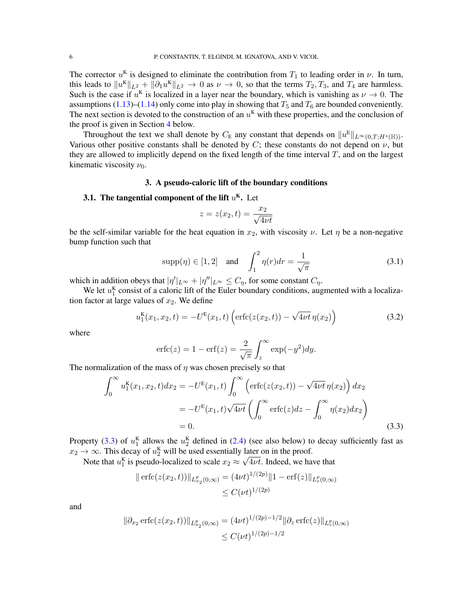The corrector  $u^{k}$  is designed to eliminate the contribution from  $T_1$  to leading order in  $\nu$ . In turn, this leads to  $||u^K||_{L^2} + ||\partial_1 u^K||_{L^2} \to 0$  as  $\nu \to 0$ , so that the terms  $T_2, T_3$ , and  $T_4$  are harmless. Such is the case if  $u^{K}$  is localized in a layer near the boundary, which is vanishing as  $\nu \rightarrow 0$ . The assumptions [\(1.13\)](#page-2-4)–[\(1.14\)](#page-2-3) only come into play in showing that  $T_5$  and  $T_6$  are bounded conveniently. The next section is devoted to the construction of an  $u<sup>K</sup>$  with these properties, and the conclusion of the proof is given in Section [4](#page-7-0) below.

Throughout the text we shall denote by  $C_E$  any constant that depends on  $||u^E||_{L^{\infty}(0,T;H^s(\mathbb{H}))}$ . Various other positive constants shall be denoted by C; these constants do not depend on  $\nu$ , but they are allowed to implicitly depend on the fixed length of the time interval  $T$ , and on the largest kinematic viscosity  $\nu_0$ .

#### 3. A pseudo-caloric lift of the boundary conditions

# <span id="page-5-0"></span>**3.1. The tangential component of the lift**  $u^{K}$ **.** Let

<span id="page-5-3"></span><span id="page-5-2"></span>
$$
z = z(x_2, t) = \frac{x_2}{\sqrt{4\nu t}}
$$

be the self-similar variable for the heat equation in  $x_2$ , with viscosity  $\nu$ . Let  $\eta$  be a non-negative bump function such that

$$
\text{supp}(\eta) \in [1, 2] \quad \text{and} \quad \int_{1}^{2} \eta(r) dr = \frac{1}{\sqrt{\pi}} \tag{3.1}
$$

which in addition obeys that  $|\eta'|_{L^{\infty}} + |\eta''|_{L^{\infty}} \leq C_{\eta}$ , for some constant  $C_{\eta}$ .

We let  $u_1^{\mathbf{K}}$  consist of a caloric lift of the Euler boundary conditions, augmented with a localization factor at large values of  $x_2$ . We define

$$
u_1^{\mathbf{K}}(x_1, x_2, t) = -U^{\mathbf{E}}(x_1, t) \left( \text{erfc}(z(x_2, t)) - \sqrt{4\nu t} \eta(x_2) \right)
$$
(3.2)

where

<span id="page-5-1"></span>
$$
\operatorname{erfc}(z) = 1 - \operatorname{erf}(z) = \frac{2}{\sqrt{\pi}} \int_z^{\infty} \exp(-y^2) dy.
$$

The normalization of the mass of  $\eta$  was chosen precisely so that

$$
\int_0^\infty u_1^{\mathbf{K}}(x_1, x_2, t) dx_2 = -U^{\mathbf{E}}(x_1, t) \int_0^\infty \left( \text{erfc}(z(x_2, t)) - \sqrt{4\nu t} \eta(x_2) \right) dx_2
$$
  
=  $-U^{\mathbf{E}}(x_1, t) \sqrt{4\nu t} \left( \int_0^\infty \text{erfc}(z) dz - \int_0^\infty \eta(x_2) dx_2 \right)$   
= 0. (3.3)

Property [\(3.3\)](#page-5-1) of  $u_1^{\kappa}$  allows the  $u_2^{\kappa}$  defined in [\(2.4\)](#page-4-4) (see also below) to decay sufficiently fast as  $x_2 \to \infty$ . This decay of  $u_2^{\mathbf{K}}$  will be used essentially later on in the proof.

Note that  $u_1^{\mathbf{K}}$  is pseudo-localized to scale  $x_2 \approx \sqrt{4\nu t}$ . Indeed, we have that

$$
\|\operatorname{erfc}(z(x_2,t))\|_{L_{x_2}^p(0,\infty)} = (4\nu t)^{1/(2p)} \|1 - \operatorname{erf}(z)\|_{L_z^p(0,\infty)}
$$
  

$$
\leq C(\nu t)^{1/(2p)}
$$

and

$$
\|\partial_{x_2} \operatorname{erfc}(z(x_2, t))\|_{L_{x_2}^p(0,\infty)} = (4\nu t)^{1/(2p)-1/2} \|\partial_z \operatorname{erfc}(z)\|_{L_z^p(0,\infty)}
$$
  

$$
\leq C(\nu t)^{1/(2p)-1/2}
$$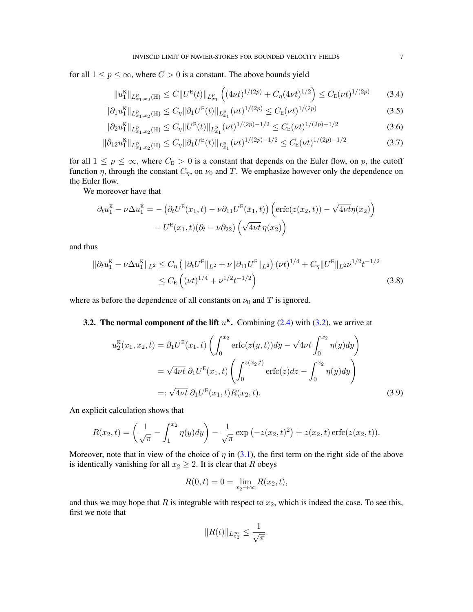for all  $1 \le p \le \infty$ , where  $C > 0$  is a constant. The above bounds yield

<span id="page-6-4"></span><span id="page-6-3"></span><span id="page-6-1"></span>
$$
||u_1^{K}||_{L_{x_1,x_2}^p(\mathbb{H})} \leq C||U^{E}(t)||_{L_{x_1}^p} \left( (4\nu t)^{1/(2p)} + C_\eta (4\nu t)^{1/2} \right) \leq C_E (\nu t)^{1/(2p)} \tag{3.4}
$$

$$
\|\partial_1 u_1^{\mathcal{K}}\|_{L^p_{x_1, x_2}(\mathbb{H})} \le C_\eta \|\partial_1 U^{\mathcal{E}}(t)\|_{L^p_{x_1}} (\nu t)^{1/(2p)} \le C_{\mathcal{E}}(\nu t)^{1/(2p)} \tag{3.5}
$$

$$
\|\partial_2 u_1^{\mathcal{K}}\|_{L^p_{x_1, x_2}(\mathbb{H})} \le C_\eta \|U^{\mathcal{E}}(t)\|_{L^p_{x_1}} (\nu t)^{1/(2p)-1/2} \le C_{\mathcal{E}}(\nu t)^{1/(2p)-1/2} \tag{3.6}
$$

$$
\|\partial_{12}u_1^{\mathcal{K}}\|_{L^p_{x_1,x_2}(\mathbb{H})} \le C_\eta \|\partial_1 U^{\mathcal{E}}(t)\|_{L^p_{x_1}} (\nu t)^{1/(2p)-1/2} \le C_{\mathcal{E}}(\nu t)^{1/(2p)-1/2} \tag{3.7}
$$

for all  $1 \le p \le \infty$ , where  $C_E > 0$  is a constant that depends on the Euler flow, on p, the cutoff function  $\eta$ , through the constant  $C_{\eta}$ , on  $\nu_0$  and T. We emphasize however only the dependence on the Euler flow.

We moreover have that

$$
\partial_t u_1^{\mathbf{K}} - \nu \Delta u_1^{\mathbf{K}} = -(\partial_t U^{\mathbf{E}}(x_1, t) - \nu \partial_{11} U^{\mathbf{E}}(x_1, t)) \left( \text{erfc}(z(x_2, t)) - \sqrt{4\nu t} \eta(x_2) \right) + U^{\mathbf{E}}(x_1, t)(\partial_t - \nu \partial_{22}) \left( \sqrt{4\nu t} \eta(x_2) \right)
$$

and thus

$$
\|\partial_t u_1^{\mathbf{K}} - \nu \Delta u_1^{\mathbf{K}}\|_{L^2} \le C_\eta \left( \|\partial_t U^{\mathbf{E}}\|_{L^2} + \nu \|\partial_{11} U^{\mathbf{E}}\|_{L^2} \right) (\nu t)^{1/4} + C_\eta \|U^{\mathbf{E}}\|_{L^2} \nu^{1/2} t^{-1/2} \le C_{\mathbf{E}} \left( (\nu t)^{1/4} + \nu^{1/2} t^{-1/2} \right)
$$
\n(3.8)

where as before the dependence of all constants on  $\nu_0$  and T is ignored.

**3.2. The normal component of the lift**  $u<sup>K</sup>$ . Combining [\(2.4\)](#page-4-4) with [\(3.2\)](#page-5-2), we arrive at

<span id="page-6-2"></span>
$$
u_2^{K}(x_1, x_2, t) = \partial_1 U^{E}(x_1, t) \left( \int_0^{x_2} \text{erfc}(z(y, t)) dy - \sqrt{4\nu t} \int_0^{x_2} \eta(y) dy \right)
$$
  

$$
= \sqrt{4\nu t} \partial_1 U^{E}(x_1, t) \left( \int_0^{z(x_2, t)} \text{erfc}(z) dz - \int_0^{x_2} \eta(y) dy \right)
$$
  

$$
=: \sqrt{4\nu t} \partial_1 U^{E}(x_1, t) R(x_2, t).
$$
 (3.9)

An explicit calculation shows that

$$
R(x_2, t) = \left(\frac{1}{\sqrt{\pi}} - \int_1^{x_2} \eta(y) dy\right) - \frac{1}{\sqrt{\pi}} \exp\left(-z(x_2, t)^2\right) + z(x_2, t) \operatorname{erfc}(z(x_2, t)).
$$

Moreover, note that in view of the choice of  $\eta$  in [\(3.1\)](#page-5-3), the first term on the right side of the above is identically vanishing for all  $x_2 \geq 2$ . It is clear that R obeys

<span id="page-6-0"></span>
$$
R(0, t) = 0 = \lim_{x_2 \to \infty} R(x_2, t),
$$

and thus we may hope that  $R$  is integrable with respect to  $x_2$ , which is indeed the case. To see this, first we note that

$$
||R(t)||_{L^{\infty}_{x_2}} \leq \frac{1}{\sqrt{\pi}}.
$$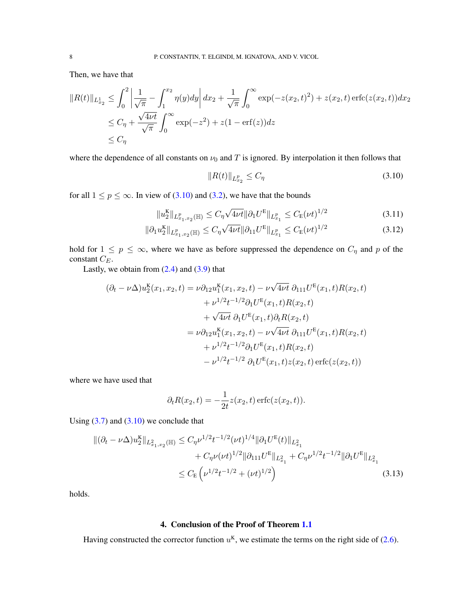Then, we have that

$$
||R(t)||_{L_{x_2}^1} \leq \int_0^2 \left| \frac{1}{\sqrt{\pi}} - \int_1^{x_2} \eta(y) dy \right| dx_2 + \frac{1}{\sqrt{\pi}} \int_0^\infty \exp(-z(x_2, t)^2) + z(x_2, t) \operatorname{erfc}(z(x_2, t)) dx_2
$$
  
\n
$$
\leq C_\eta + \frac{\sqrt{4\nu t}}{\sqrt{\pi}} \int_0^\infty \exp(-z^2) + z(1 - \operatorname{erf}(z)) dz
$$
  
\n
$$
\leq C_\eta
$$

where the dependence of all constants on  $\nu_0$  and T is ignored. By interpolation it then follows that

<span id="page-7-4"></span><span id="page-7-3"></span><span id="page-7-1"></span>
$$
||R(t)||_{L_{x_2}^p} \le C_\eta \tag{3.10}
$$

for all  $1 \le p \le \infty$ . In view of [\(3.10\)](#page-7-1) and [\(3.2\)](#page-5-2), we have that the bounds

$$
||u_2^{\mathbf{K}}||_{L_{x_1,x_2}^p(\mathbb{H})} \le C_\eta \sqrt{4\nu t} ||\partial_1 U^{\mathbf{E}}||_{L_{x_1}^p} \le C_{\mathbf{E}}(\nu t)^{1/2}
$$
(3.11)

$$
\|\partial_1 u_2^{\mathbf{K}}\|_{L_{x_1,x_2}^p(\mathbb{H})} \le C_\eta \sqrt{4\nu t} \|\partial_{11} U^{\mathbf{E}}\|_{L_{x_1}^p} \le C_{\mathbf{E}} (\nu t)^{1/2}
$$
\n(3.12)

hold for  $1 \le p \le \infty$ , where we have as before suppressed the dependence on  $C_{\eta}$  and p of the constant  $C_E$ .

Lastly, we obtain from  $(2.4)$  and  $(3.9)$  that

$$
(\partial_t - \nu \Delta)u_2^{\mathbf{K}}(x_1, x_2, t) = \nu \partial_{12}u_1^{\mathbf{K}}(x_1, x_2, t) - \nu \sqrt{4\nu t} \partial_{111}U^{\mathbf{E}}(x_1, t)R(x_2, t) + \nu^{1/2}t^{-1/2}\partial_1U^{\mathbf{E}}(x_1, t)R(x_2, t) + \sqrt{4\nu t} \partial_1U^{\mathbf{E}}(x_1, t)\partial_tR(x_2, t) = \nu \partial_{12}u_1^{\mathbf{K}}(x_1, x_2, t) - \nu \sqrt{4\nu t} \partial_{111}U^{\mathbf{E}}(x_1, t)R(x_2, t) + \nu^{1/2}t^{-1/2}\partial_1U^{\mathbf{E}}(x_1, t)R(x_2, t) - \nu^{1/2}t^{-1/2} \partial_1U^{\mathbf{E}}(x_1, t)z(x_2, t) \operatorname{erfc}(z(x_2, t))
$$

where we have used that

<span id="page-7-2"></span>
$$
\partial_t R(x_2, t) = -\frac{1}{2t} z(x_2, t) \operatorname{erfc}(z(x_2, t)).
$$

Using  $(3.7)$  and  $(3.10)$  we conclude that

$$
\begin{split} \|( \partial_t - \nu \Delta) u_2^{\mathbf{K}} \|_{L_{x_1, x_2}^2(\mathbb{H})} &\leq C_\eta \nu^{1/2} t^{-1/2} (\nu t)^{1/4} \|\partial_1 U^{\mathbf{E}}(t) \|_{L_{x_1}^2} \\ &+ C_\eta \nu (\nu t)^{1/2} \|\partial_{111} U^{\mathbf{E}} \|_{L_{x_1}^2} + C_\eta \nu^{1/2} t^{-1/2} \|\partial_1 U^{\mathbf{E}} \|_{L_{x_1}^2} \\ &\leq C_{\mathbf{E}} \left( \nu^{1/2} t^{-1/2} + (\nu t)^{1/2} \right) \end{split} \tag{3.13}
$$

holds.

## 4. Conclusion of the Proof of Theorem [1.1](#page-2-0)

<span id="page-7-0"></span>Having constructed the corrector function  $u<sup>K</sup>$ , we estimate the terms on the right side of [\(2.6\)](#page-4-5).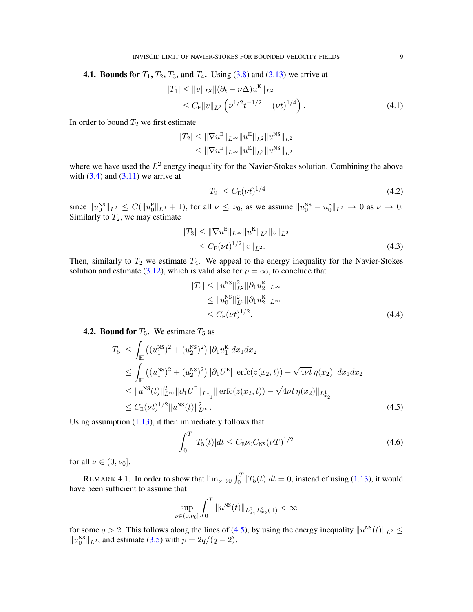**4.1. Bounds for**  $T_1, T_2, T_3$ , and  $T_4$ . Using [\(3.8\)](#page-6-2) and [\(3.13\)](#page-7-2) we arrive at

$$
|T_1| \leq ||v||_{L^2} ||(\partial_t - \nu \Delta) u^{K}||_{L^2}
$$
  
\n
$$
\leq C_E ||v||_{L^2} \left( \nu^{1/2} t^{-1/2} + (\nu t)^{1/4} \right). \tag{4.1}
$$

In order to bound  $T_2$  we first estimate

$$
|T_2| \leq \|\nabla u^{\mathcal{E}}\|_{L^{\infty}} \|u^{\mathcal{K}}\|_{L^2} \|u^{\mathcal{NS}}\|_{L^2}
$$
  

$$
\leq \|\nabla u^{\mathcal{E}}\|_{L^{\infty}} \|u^{\mathcal{K}}\|_{L^2} \|u_0^{\mathcal{NS}}\|_{L^2}
$$

where we have used the  $L^2$  energy inequality for the Navier-Stokes solution. Combining the above with  $(3.4)$  and  $(3.11)$  we arrive at

<span id="page-8-3"></span><span id="page-8-2"></span><span id="page-8-1"></span>
$$
|T_2| \le C_{\mathcal{E}}(\nu t)^{1/4} \tag{4.2}
$$

since  $||u_0^{\text{NS}}||_{L^2} \leq C(||u_0^{\text{E}}||_{L^2} + 1)$ , for all  $\nu \leq \nu_0$ , as we assume  $||u_0^{\text{NS}} - u_0^{\text{E}}||_{L^2} \to 0$  as  $\nu \to 0$ . Similarly to  $T_2$ , we may estimate

$$
|T_3| \le ||\nabla u^{\mathbb{E}}||_{L^{\infty}} ||u^{\mathbb{K}}||_{L^2} ||v||_{L^2}
$$
  
\n
$$
\le C_{\mathbb{E}} (\nu t)^{1/2} ||v||_{L^2}.
$$
\n(4.3)

Then, similarly to  $T_2$  we estimate  $T_4$ . We appeal to the energy inequality for the Navier-Stokes solution and estimate [\(3.12\)](#page-7-4), which is valid also for  $p = \infty$ , to conclude that

<span id="page-8-4"></span>
$$
|T_4| \leq \|u^{\rm NS}\|_{L^2}^2 \|\partial_1 u_2^{\rm K}\|_{L^\infty}
$$
  
\n
$$
\leq \|u_0^{\rm NS}\|_{L^2}^2 \|\partial_1 u_2^{\rm K}\|_{L^\infty}
$$
  
\n
$$
\leq C_{\rm E}(\nu t)^{1/2}.
$$
\n(4.4)

# **4.2. Bound for**  $T_5$ **.** We estimate  $T_5$  as

$$
|T_5| \leq \int_{\mathbb{H}} \left( (u_1^{\text{NS}})^2 + (u_2^{\text{NS}})^2 \right) |\partial_1 u_1^{\text{K}}| dx_1 dx_2
$$
  
\n
$$
\leq \int_{\mathbb{H}} \left( (u_1^{\text{NS}})^2 + (u_2^{\text{NS}})^2 \right) |\partial_1 U^{\text{E}}| \left| \text{erfc}(z(x_2, t)) - \sqrt{4\nu t} \eta(x_2) \right| dx_1 dx_2
$$
  
\n
$$
\leq \| u^{\text{NS}}(t) \|_{L^{\infty}}^2 \| \partial_1 U^{\text{E}} \|_{L^1_{x_1}} \| \text{erfc}(z(x_2, t)) - \sqrt{4\nu t} \eta(x_2) \|_{L^1_{x_2}}
$$
  
\n
$$
\leq C_{\text{E}}(\nu t)^{1/2} \| u^{\text{NS}}(t) \|_{L^{\infty}}^2.
$$
\n(4.5)

Using assumption  $(1.13)$ , it then immediately follows that

<span id="page-8-5"></span><span id="page-8-0"></span>
$$
\int_0^T |T_5(t)|dt \le C_{\rm E} \nu_0 C_{\rm NS} (\nu T)^{1/2} \tag{4.6}
$$

for all  $\nu \in (0, \nu_0]$ .

REMARK 4.1. In order to show that  $\lim_{\nu \to 0} \int_0^T |T_5(t)| dt = 0$ , instead of using [\(1.13\)](#page-2-4), it would have been sufficient to assume that

$$
\sup_{\nu \in (0,\nu_0]} \int_0^T \|u^{\rm NS}(t)\|_{L^2_{x_1} L^q_{x_2}(\mathbb{H})} < \infty
$$

for some  $q > 2$ . This follows along the lines of [\(4.5\)](#page-8-0), by using the energy inequality  $||u^{NS}(t)||_{L^2} \le$  $||u_0^{NS}||_{L^2}$ , and estimate [\(3.5\)](#page-6-4) with  $p = 2q/(q-2)$ .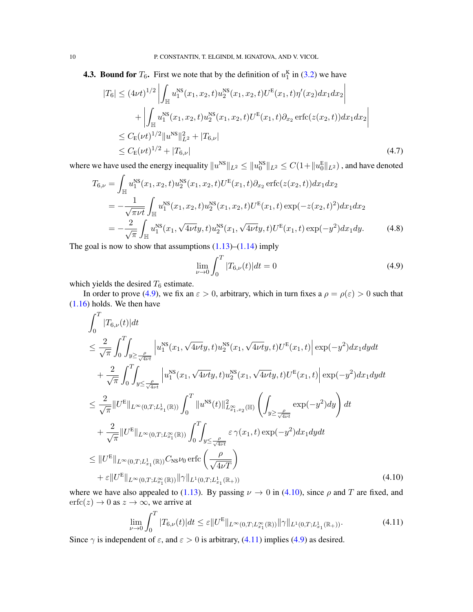**4.3. Bound for**  $T_6$ . First we note that by the definition of  $u_1^{\text{K}}$  in [\(3.2\)](#page-5-2) we have

$$
|T_6| \leq (4\nu t)^{1/2} \left| \int_{\mathbb{H}} u_1^{\text{NS}}(x_1, x_2, t) u_2^{\text{NS}}(x_1, x_2, t) U^{\text{E}}(x_1, t) \eta'(x_2) dx_1 dx_2 \right|
$$
  
+ 
$$
\left| \int_{\mathbb{H}} u_1^{\text{NS}}(x_1, x_2, t) u_2^{\text{NS}}(x_1, x_2, t) U^{\text{E}}(x_1, t) \partial_{x_2} \operatorname{erfc}(z(x_2, t)) dx_1 dx_2 \right|
$$
  

$$
\leq C_{\text{E}}(\nu t)^{1/2} \|u^{\text{NS}}\|_{L^2}^2 + |T_{6,\nu}|
$$
  

$$
\leq C_{\text{E}}(\nu t)^{1/2} + |T_{6,\nu}|
$$
(4.7)

where we have used the energy inequality  $||u^{NS}||_{L^2} \le ||u_0^{NS}||_{L^2} \le C(1+||u_0^E||_{L^2})$  , and have denoted

$$
T_{6,\nu} = \int_{\mathbb{H}} u_1^{\text{NS}}(x_1, x_2, t) u_2^{\text{NS}}(x_1, x_2, t) U^{\text{E}}(x_1, t) \partial_{x_2} \operatorname{erfc}(z(x_2, t)) dx_1 dx_2
$$
  
\n
$$
= -\frac{1}{\sqrt{\pi \nu t}} \int_{\mathbb{H}} u_1^{\text{NS}}(x_1, x_2, t) u_2^{\text{NS}}(x_1, x_2, t) U^{\text{E}}(x_1, t) \exp(-z(x_2, t)^2) dx_1 dx_2
$$
  
\n
$$
= -\frac{2}{\sqrt{\pi}} \int_{\mathbb{H}} u_1^{\text{NS}}(x_1, \sqrt{4\nu t} y, t) u_2^{\text{NS}}(x_1, \sqrt{4\nu t} y, t) U^{\text{E}}(x_1, t) \exp(-y^2) dx_1 dy. \tag{4.8}
$$

The goal is now to show that assumptions  $(1.13)$ – $(1.14)$  imply

<span id="page-9-3"></span><span id="page-9-0"></span>
$$
\lim_{\nu \to 0} \int_0^T |T_{6,\nu}(t)| dt = 0 \tag{4.9}
$$

which yields the desired  $T_6$  estimate.

In order to prove [\(4.9\)](#page-9-0), we fix an  $\varepsilon > 0$ , arbitrary, which in turn fixes a  $\rho = \rho(\varepsilon) > 0$  such that [\(1.16\)](#page-2-6) holds. We then have

$$
\int_{0}^{T} |T_{6,\nu}(t)|dt
$$
\n
$$
\leq \frac{2}{\sqrt{\pi}} \int_{0}^{T} \int_{y \geq \frac{\rho}{\sqrt{4\nu t}}} \left| u_{1}^{NS}(x_{1}, \sqrt{4\nu t}y, t) u_{2}^{NS}(x_{1}, \sqrt{4\nu t}y, t) U^{E}(x_{1}, t) \right| \exp(-y^{2}) dx_{1} dy dt
$$
\n
$$
+ \frac{2}{\sqrt{\pi}} \int_{0}^{T} \int_{y \leq \frac{\rho}{\sqrt{4\nu t}}} \left| u_{1}^{NS}(x_{1}, \sqrt{4\nu t}y, t) u_{2}^{NS}(x_{1}, \sqrt{4\nu t}y, t) U^{E}(x_{1}, t) \right| \exp(-y^{2}) dx_{1} dy dt
$$
\n
$$
\leq \frac{2}{\sqrt{\pi}} ||U^{E}||_{L^{\infty}(0, T; L^{1}_{x_{1}}(\mathbb{R}))} \int_{0}^{T} ||u^{NS}(t)||^{2}_{L^{\infty}_{x_{1}, x_{2}}(\mathbb{H})} \left( \int_{y \geq \frac{\rho}{\sqrt{4\nu t}}} \exp(-y^{2}) dy \right) dt
$$
\n
$$
+ \frac{2}{\sqrt{\pi}} ||U^{E}||_{L^{\infty}(0, T; L^{\infty}_{x_{1}}(\mathbb{R}))} \int_{0}^{T} \int_{y \leq \frac{\rho}{\sqrt{4\nu t}}} \varepsilon \gamma(x_{1}, t) \exp(-y^{2}) dx_{1} dy dt
$$
\n
$$
\leq ||U^{E}||_{L^{\infty}(0, T; L^{1}_{x_{1}}(\mathbb{R}))} C_{NS} \nu_{0} \operatorname{erfc} \left( \frac{\rho}{\sqrt{4\nu T}} \right)
$$
\n
$$
+ \varepsilon ||U^{E}||_{L^{\infty}(0, T; L^{\infty}_{x_{1}}(\mathbb{R}))} ||\gamma||_{L^{1}(0, T; L^{1}_{x_{1}}(\mathbb{R}))} \qquad (4.10)
$$

where we have also appealed to [\(1.13\)](#page-2-4). By passing  $\nu \to 0$  in [\(4.10\)](#page-9-1), since  $\rho$  and T are fixed, and  $erfc(z) \rightarrow 0$  as  $z \rightarrow \infty$ , we arrive at

<span id="page-9-2"></span><span id="page-9-1"></span>
$$
\lim_{\nu \to 0} \int_0^T |T_{6,\nu}(t)| dt \leq \varepsilon \|U^E\|_{L^\infty(0,T;L^\infty_{x_1}(\mathbb{R}))} \|\gamma\|_{L^1(0,T;L^1_{x_1}(\mathbb{R}_+))}.
$$
\n(4.11)

Since  $\gamma$  is independent of  $\varepsilon$ , and  $\varepsilon > 0$  is arbitrary, [\(4.11\)](#page-9-2) implies [\(4.9\)](#page-9-0) as desired.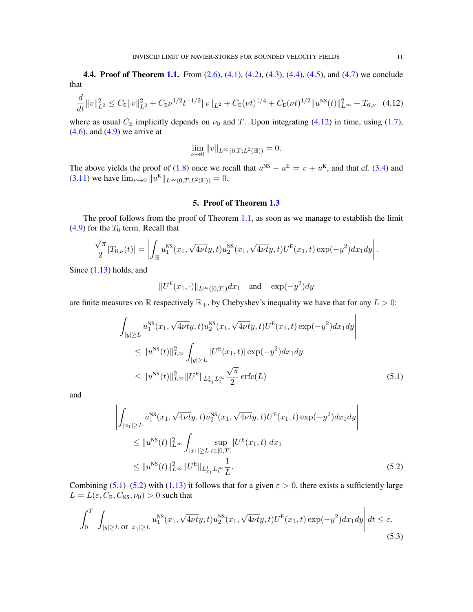**4.4. Proof of Theorem [1.1.](#page-2-0)** From [\(2.6\)](#page-4-5), [\(4.1\)](#page-8-1), [\(4.2\)](#page-8-2), [\(4.3\)](#page-8-3), [\(4.4\)](#page-8-4), [\(4.5\)](#page-8-0), and [\(4.7\)](#page-9-3) we conclude that

$$
\frac{d}{dt}||v||_{L^2}^2 \le C_E||v||_{L^2}^2 + C_E\nu^{1/2}t^{-1/2}||v||_{L^2} + C_E(\nu t)^{1/4} + C_E(\nu t)^{1/2}||u^{NS}(t)||_{L^\infty}^2 + T_{6,\nu} \quad (4.12)
$$

where as usual  $C_E$  implicitly depends on  $\nu_0$  and T. Upon integrating [\(4.12\)](#page-10-1) in time, using [\(1.7\)](#page-0-3),  $(4.6)$ , and  $(4.9)$  we arrive at

<span id="page-10-1"></span>
$$
\lim_{\nu \to 0} ||v||_{L^{\infty}(0,T;L^2(\mathbb{H}))} = 0.
$$

The above yields the proof of [\(1.8\)](#page-0-2) once we recall that  $u^{NS} - u^{E} = v + u^{K}$ , and that cf. [\(3.4\)](#page-6-3) and [\(3.11\)](#page-7-3) we have  $\lim_{\nu \to 0} ||u^{\mathbf{K}}||_{L^{\infty}(0,T;L^{2}(\mathbb{H}))} = 0.$ 

#### 5. Proof of Theorem [1.3](#page-2-1)

<span id="page-10-0"></span>The proof follows from the proof of Theorem [1.1,](#page-2-0) as soon as we manage to establish the limit [\(4.9\)](#page-9-0) for the  $T_6$  term. Recall that

$$
\frac{\sqrt{\pi}}{2}|T_{6,\nu}(t)| = \left|\int_{\mathbb{H}} u_1^{\text{NS}}(x_1,\sqrt{4\nu t}y,t)u_2^{\text{NS}}(x_1,\sqrt{4\nu t}y,t)U^{\text{E}}(x_1,t)\exp(-y^2)dx_1dy\right|.
$$

Since [\(1.13\)](#page-2-4) holds, and

 $\overline{1}$ 

<span id="page-10-2"></span>
$$
||U^{\mathcal{E}}(x_1,\cdot)||_{L^{\infty}([0,T])}dx_1 \quad \text{and} \quad \exp(-y^2)dy
$$

are finite measures on  $\mathbb R$  respectively  $\mathbb R_+$ , by Chebyshev's inequality we have that for any  $L > 0$ :

$$
\left| \int_{|y| \ge L} u_1^{\text{NS}}(x_1, \sqrt{4\nu t} y, t) u_2^{\text{NS}}(x_1, \sqrt{4\nu t} y, t) U^{\text{E}}(x_1, t) \exp(-y^2) dx_1 dy \right|
$$
  
\n
$$
\le \|u^{\text{NS}}(t)\|_{L^{\infty}}^2 \int_{|y| \ge L} |U^{\text{E}}(x_1, t)| \exp(-y^2) dx_1 dy
$$
  
\n
$$
\le \|u^{\text{NS}}(t)\|_{L^{\infty}}^2 \|U^{\text{E}}\|_{L^1_{x_1} L^\infty_t} \frac{\sqrt{\pi}}{2} \operatorname{erfc}(L)
$$
\n(5.1)

and

<span id="page-10-4"></span> $\mathbf{r}$ 

<span id="page-10-3"></span>
$$
\left| \int_{|x_1| \ge L} u_1^{\text{NS}}(x_1, \sqrt{4\nu t}y, t) u_2^{\text{NS}}(x_1, \sqrt{4\nu t}y, t) U^{\text{E}}(x_1, t) \exp(-y^2) dx_1 dy \right|
$$
  
\n
$$
\le ||u^{\text{NS}}(t)||_{L^{\infty}}^2 \int_{|x_1| \ge L} \sup_{t \in [0, T]} |U^{\text{E}}(x_1, t)| dx_1
$$
  
\n
$$
\le ||u^{\text{NS}}(t)||_{L^{\infty}}^2 ||U^{\text{E}}||_{L_{x_1}^1 L_t^{\infty}} \frac{1}{L}.
$$
\n(5.2)

Combining [\(5.1\)](#page-10-2)–[\(5.2\)](#page-10-3) with [\(1.13\)](#page-2-4) it follows that for a given  $\varepsilon > 0$ , there exists a sufficiently large  $L = L(\varepsilon, C_{\rm E}, C_{\rm NS}, \nu_0) > 0$  such that

$$
\int_0^T \left| \int_{|y| \ge L \text{ or } |x_1| \ge L} u_1^{\text{NS}}(x_1, \sqrt{4\nu t}y, t) u_2^{\text{NS}}(x_1, \sqrt{4\nu t}y, t) U^{\text{E}}(x_1, t) \exp(-y^2) dx_1 dy \right| dt \le \varepsilon.
$$
\n(5.3)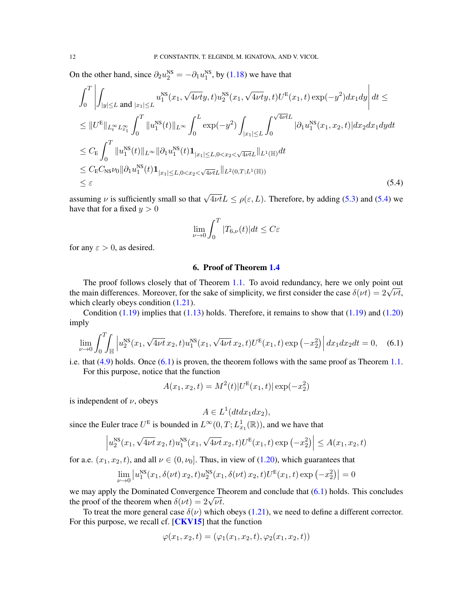On the other hand, since  $\partial_2 u_2^{\text{NS}} = -\partial_1 u_1^{\text{NS}}$ , by [\(1.18\)](#page-3-1) we have that

$$
\int_{0}^{T} \left| \int_{|y| \leq L} \operatorname{and} |x_{1}| \leq L \frac{u_{1}^{\text{NS}}(x_{1}, \sqrt{4\nu t}y, t) u_{2}^{\text{NS}}(x_{1}, \sqrt{4\nu t}y, t) U^{\text{E}}(x_{1}, t) \exp(-y^{2}) dx_{1} dy \right| dt \leq
$$
\n
$$
\leq \|U^{\text{E}}\|_{L_{t}^{\infty} L_{x_{1}}^{\infty}} \int_{0}^{T} \|u_{1}^{\text{NS}}(t)\|_{L^{\infty}} \int_{0}^{L} \exp(-y^{2}) \int_{|x_{1}| \leq L} \int_{0}^{\sqrt{4\nu t} L} |\partial_{1} u_{1}^{\text{NS}}(x_{1}, x_{2}, t)| dx_{2} dx_{1} dy dt
$$
\n
$$
\leq C_{\text{E}} \int_{0}^{T} \|u_{1}^{\text{NS}}(t)\|_{L^{\infty}} \|\partial_{1} u_{1}^{\text{NS}}(t) \mathbf{1}_{|x_{1}| \leq L, 0 < x_{2} < \sqrt{4\nu t}L} \|_{L^{1}(\mathbb{H})} dt
$$
\n
$$
\leq C_{\text{E}} C_{\text{NS}} \nu_{0} \|\partial_{1} u_{1}^{\text{NS}}(t) \mathbf{1}_{|x_{1}| \leq L, 0 < x_{2} < \sqrt{4\nu t}L} \|_{L^{2}(0, T; L^{1}(\mathbb{H}))}
$$
\n
$$
\leq \varepsilon
$$
\n(5.4)

assuming  $\nu$  is sufficiently small so that  $\sqrt{4\nu t}L \le \rho(\varepsilon, L)$ . Therefore, by adding [\(5.3\)](#page-10-4) and [\(5.4\)](#page-11-1) we have that for a fixed  $y > 0$ 

<span id="page-11-1"></span>
$$
\lim_{\nu \to 0} \int_0^T |T_{6,\nu}(t)| dt \le C\varepsilon
$$

for any  $\varepsilon > 0$ , as desired.

## 6. Proof of Theorem [1.4](#page-3-0)

<span id="page-11-0"></span>The proof follows closely that of Theorem [1.1.](#page-2-0) To avoid redundancy, here we only point out The proof follows closely that of Theorem 1.1. To avoid redundancy, here we only point out<br>the main differences. Moreover, for the sake of simplicity, we first consider the case  $\delta(\nu t) = 2\sqrt{\nu t}$ , which clearly obeys condition  $(1.21)$ .

Condition  $(1.19)$  implies that  $(1.13)$  holds. Therefore, it remains to show that  $(1.19)$  and  $(1.20)$ imply

$$
\lim_{\nu \to 0} \int_0^T \int_{\mathbb{H}} \left| u_2^{\text{NS}}(x_1, \sqrt{4\nu t} \, x_2, t) u_1^{\text{NS}}(x_1, \sqrt{4\nu t} \, x_2, t) U^{\text{E}}(x_1, t) \exp\left(-x_2^2\right) \right| dx_1 dx_2 dt = 0, \quad (6.1)
$$

i.e. that  $(4.9)$  holds. Once  $(6.1)$  is proven, the theorem follows with the same proof as Theorem [1.1.](#page-2-0) For this purpose, notice that the function

$$
A(x_1, x_2, t) = M^2(t)|U^{\rm E}(x_1, t)| \exp(-x_2^2)
$$

is independent of  $\nu$ , obeys

<span id="page-11-2"></span>
$$
A \in L^1(dtdx_1dx_2),
$$

since the Euler trace  $U^E$  is bounded in  $L^{\infty}(0,T; L^1_{x_1}(\mathbb{R}))$ , and we have that

$$
\left| u_2^{\text{NS}}(x_1, \sqrt{4\nu t} \, x_2, t) u_1^{\text{NS}}(x_1, \sqrt{4\nu t} \, x_2, t) U^{\text{E}}(x_1, t) \exp\left(-x_2^2\right) \right| \leq A(x_1, x_2, t)
$$

for a.e.  $(x_1, x_2, t)$ , and all  $\nu \in (0, \nu_0]$ . Thus, in view of [\(1.20\)](#page-3-4), which guarantees that

$$
\lim_{\nu \to 0} |u_1^{\text{NS}}(x_1, \delta(\nu t) x_2, t) u_2^{\text{NS}}(x_1, \delta(\nu t) x_2, t) U^{\text{E}}(x_1, t) \exp(-x_2^2)| = 0
$$

we may apply the Dominated Convergence Theorem and conclude that  $(6.1)$  holds. This concludes we may apply the Dominated Convergence Tr<br>the proof of the theorem when  $\delta(\nu t) = 2\sqrt{\nu t}$ .

To treat the more general case  $\delta(\nu)$  which obeys [\(1.21\)](#page-3-2), we need to define a different corrector. For this purpose, we recall cf. [[CKV15](#page-12-1)] that the function

$$
\varphi(x_1, x_2, t) = (\varphi_1(x_1, x_2, t), \varphi_2(x_1, x_2, t))
$$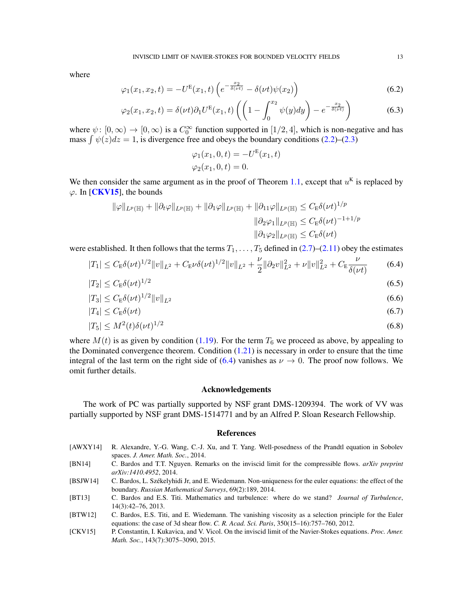where

$$
\varphi_1(x_1, x_2, t) = -U^{\mathcal{E}}(x_1, t) \left( e^{-\frac{x_2}{\delta(\nu t)}} - \delta(\nu t) \psi(x_2) \right)
$$
(6.2)

$$
\varphi_2(x_1, x_2, t) = \delta(\nu t) \partial_1 U^{\mathcal{E}}(x_1, t) \left( \left( 1 - \int_0^{x_2} \psi(y) dy \right) - e^{-\frac{x_2}{\delta(\nu t)}} \right) \tag{6.3}
$$

where  $\psi: [0, \infty) \to [0, \infty)$  is a  $C_0^{\infty}$  function supported in [1/2, 4], which is non-negative and has mass  $\int \psi(z)dz = 1$ , is divergence free and obeys the boundary conditions [\(2.2\)](#page-4-6)–[\(2.3\)](#page-4-2)

<span id="page-12-6"></span>
$$
\varphi_1(x_1, 0, t) = -U^{E}(x_1, t)
$$
  

$$
\varphi_2(x_1, 0, t) = 0.
$$

We then consider the same argument as in the proof of Theorem [1.1,](#page-2-0) except that  $u<sup>K</sup>$  is replaced by  $\varphi$ . In [**[CKV15](#page-12-1)**], the bounds

$$
\|\varphi\|_{L^p(\mathbb{H})} + \|\partial_t \varphi\|_{L^p(\mathbb{H})} + \|\partial_1 \varphi\|_{L^p(\mathbb{H})} + \|\partial_{11} \varphi\|_{L^p(\mathbb{H})} \leq C_{\mathbb{E}} \delta(\nu t)^{1/p}
$$

$$
\|\partial_2 \varphi_1\|_{L^p(\mathbb{H})} \leq C_{\mathbb{E}} \delta(\nu t)^{-1+1/p}
$$

$$
\|\partial_1 \varphi_2\|_{L^p(\mathbb{H})} \leq C_{\mathbb{E}} \delta(\nu t)
$$

were established. It then follows that the terms  $T_1, \ldots, T_5$  defined in [\(2.7\)](#page-4-7)–[\(2.11\)](#page-4-8) obey the estimates

$$
|T_1| \leq C_{\mathcal{E}} \delta(\nu t)^{1/2} \|v\|_{L^2} + C_{\mathcal{E}} \nu \delta(\nu t)^{1/2} \|v\|_{L^2} + \frac{\nu}{2} \|\partial_2 v\|_{L^2}^2 + \nu \|v\|_{L^2}^2 + C_{\mathcal{E}} \frac{\nu}{\delta(\nu t)}
$$
(6.4)

$$
|T_2| \le C_E \delta(\nu t)^{1/2} \tag{6.5}
$$

$$
|T_3| \le C_E \delta(\nu t)^{1/2} \|v\|_{L^2}
$$
\n(6.6)

$$
|T_4| \le C_E \delta(\nu t) \tag{6.7}
$$

$$
|T_5| \le M^2(t)\delta(\nu t)^{1/2} \tag{6.8}
$$

where  $M(t)$  is as given by condition [\(1.19\)](#page-3-3). For the term  $T_6$  we proceed as above, by appealing to the Dominated convergence theorem. Condition  $(1.21)$  is necessary in order to ensure that the time integral of the last term on the right side of [\(6.4\)](#page-12-6) vanishes as  $\nu \rightarrow 0$ . The proof now follows. We omit further details.

#### Acknowledgements

The work of PC was partially supported by NSF grant DMS-1209394. The work of VV was partially supported by NSF grant DMS-1514771 and by an Alfred P. Sloan Research Fellowship.

#### References

- <span id="page-12-5"></span>[AWXY14] R. Alexandre, Y.-G. Wang, C.-J. Xu, and T. Yang. Well-posedness of the Prandtl equation in Sobolev spaces. *J. Amer. Math. Soc.*, 2014.
- <span id="page-12-4"></span>[BN14] C. Bardos and T.T. Nguyen. Remarks on the inviscid limit for the compressible flows. *arXiv preprint arXiv:1410.4952*, 2014.
- <span id="page-12-2"></span>[BSJW14] C. Bardos, L. Szekelyhidi Jr, and E. Wiedemann. Non-uniqueness for the euler equations: the effect of the ´ boundary. *Russian Mathematical Surveys*, 69(2):189, 2014.
- <span id="page-12-0"></span>[BT13] C. Bardos and E.S. Titi. Mathematics and turbulence: where do we stand? *Journal of Turbulence*, 14(3):42–76, 2013.
- <span id="page-12-3"></span>[BTW12] C. Bardos, E.S. Titi, and E. Wiedemann. The vanishing viscosity as a selection principle for the Euler equations: the case of 3d shear flow. *C. R. Acad. Sci. Paris*, 350(15–16):757–760, 2012.
- <span id="page-12-1"></span>[CKV15] P. Constantin, I. Kukavica, and V. Vicol. On the inviscid limit of the Navier-Stokes equations. *Proc. Amer. Math. Soc.*, 143(7):3075–3090, 2015.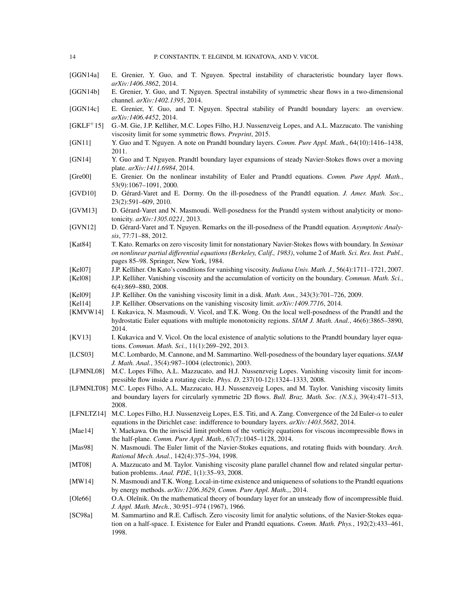- <span id="page-13-18"></span>[GGN14a] E. Grenier, Y. Guo, and T. Nguyen. Spectral instability of characteristic boundary layer flows. *arXiv:1406.3862*, 2014.
- <span id="page-13-16"></span>[GGN14b] E. Grenier, Y. Guo, and T. Nguyen. Spectral instability of symmetric shear flows in a two-dimensional channel. *arXiv:1402.1395*, 2014.
- <span id="page-13-17"></span>[GGN14c] E. Grenier, Y. Guo, and T. Nguyen. Spectral stability of Prandtl boundary layers: an overview. *arXiv:1406.4452*, 2014.
- <span id="page-13-26"></span>[GKLF<sup>+</sup>15] G.-M. Gie, J.P. Kelliher, M.C. Lopes Filho, H.J. Nussenzveig Lopes, and A.L. Mazzucato. The vanishing viscosity limit for some symmetric flows. *Preprint*, 2015.
- <span id="page-13-13"></span>[GN11] Y. Guo and T. Nguyen. A note on Prandtl boundary layers. *Comm. Pure Appl. Math.*, 64(10):1416–1438, 2011.
- <span id="page-13-4"></span>[GN14] Y. Guo and T. Nguyen. Prandtl boundary layer expansions of steady Navier-Stokes flows over a moving plate. *arXiv:1411.6984*, 2014.
- <span id="page-13-15"></span>[Gre00] E. Grenier. On the nonlinear instability of Euler and Prandtl equations. *Comm. Pure Appl. Math.*, 53(9):1067–1091, 2000.
- <span id="page-13-12"></span>[GVD10] D. Gérard-Varet and E. Dormy. On the ill-posedness of the Prandtl equation. *J. Amer. Math. Soc.*, 23(2):591–609, 2010.
- <span id="page-13-25"></span>[GVM13] D. Gérard-Varet and N. Masmoudi. Well-posedness for the Prandtl system without analyticity or monotonicity. *arXiv:1305.0221*, 2013.
- <span id="page-13-14"></span>[GVN12] D. Gérard-Varet and T. Nguyen. Remarks on the ill-posedness of the Prandtl equation. *Asymptotic Analysis*, 77:71–88, 2012.
- <span id="page-13-0"></span>[Kat84] T. Kato. Remarks on zero viscosity limit for nonstationary Navier-Stokes flows with boundary. In *Seminar on nonlinear partial differential equations (Berkeley, Calif., 1983)*, volume 2 of *Math. Sci. Res. Inst. Publ.*, pages 85–98. Springer, New York, 1984.
- <span id="page-13-1"></span>[Kel07] J.P. Kelliher. On Kato's conditions for vanishing viscosity. *Indiana Univ. Math. J.*, 56(4):1711–1721, 2007.
- <span id="page-13-2"></span>[Kel08] J.P. Kelliher. Vanishing viscosity and the accumulation of vorticity on the boundary. *Commun. Math. Sci.*, 6(4):869–880, 2008.
- <span id="page-13-10"></span>[Kel09] J.P. Kelliher. On the vanishing viscosity limit in a disk. *Math. Ann.*, 343(3):701–726, 2009.
- <span id="page-13-11"></span>[Kel14] J.P. Kelliher. Observations on the vanishing viscosity limit. *arXiv:1409.7716*, 2014.
- <span id="page-13-24"></span>[KMVW14] I. Kukavica, N. Masmoudi, V. Vicol, and T.K. Wong. On the local well-posedness of the Prandtl and the hydrostatic Euler equations with multiple monotonicity regions. *SIAM J. Math. Anal.*, 46(6):3865–3890, 2014.
- <span id="page-13-23"></span>[KV13] I. Kukavica and V. Vicol. On the local existence of analytic solutions to the Prandtl boundary layer equations. *Commun. Math. Sci.*, 11(1):269–292, 2013.
- <span id="page-13-22"></span>[LCS03] M.C. Lombardo, M. Cannone, and M. Sammartino. Well-posedness of the boundary layer equations. *SIAM J. Math. Anal.*, 35(4):987–1004 (electronic), 2003.
- <span id="page-13-7"></span>[LFMNL08] M.C. Lopes Filho, A.L. Mazzucato, and H.J. Nussenzveig Lopes. Vanishing viscosity limit for incompressible flow inside a rotating circle. *Phys. D*, 237(10-12):1324–1333, 2008.
- <span id="page-13-8"></span>[LFMNLT08] M.C. Lopes Filho, A.L. Mazzucato, H.J. Nussenzveig Lopes, and M. Taylor. Vanishing viscosity limits and boundary layers for circularly symmetric 2D flows. *Bull. Braz. Math. Soc. (N.S.)*, 39(4):471–513, 2008.
- <span id="page-13-5"></span>[LFNLTZ14] M.C. Lopes Filho, H.J. Nussenzveig Lopes, E.S. Titi, and A. Zang. Convergence of the 2d Euler-α to euler equations in the Dirichlet case: indifference to boundary layers. *arXiv:1403.5682*, 2014.
- <span id="page-13-6"></span>[Mae14] Y. Maekawa. On the inviscid limit problem of the vorticity equations for viscous incompressible flows in the half-plane. *Comm. Pure Appl. Math.*, 67(7):1045–1128, 2014.
- <span id="page-13-3"></span>[Mas98] N. Masmoudi. The Euler limit of the Navier-Stokes equations, and rotating fluids with boundary. *Arch. Rational Mech. Anal.*, 142(4):375–394, 1998.
- <span id="page-13-9"></span>[MT08] A. Mazzucato and M. Taylor. Vanishing viscosity plane parallel channel flow and related singular perturbation problems. *Anal. PDE*, 1(1):35–93, 2008.
- <span id="page-13-20"></span>[MW14] N. Masmoudi and T.K. Wong. Local-in-time existence and uniqueness of solutions to the Prandtl equations by energy methods. *arXiv:1206.3629, Comm. Pure Appl. Math.,*, 2014.
- <span id="page-13-19"></span>[Ole66] O.A. Oleĭnik. On the mathematical theory of boundary layer for an unsteady flow of incompressible fluid. *J. Appl. Math. Mech.*, 30:951–974 (1967), 1966.
- <span id="page-13-21"></span>[SC98a] M. Sammartino and R.E. Caflisch. Zero viscosity limit for analytic solutions, of the Navier-Stokes equation on a half-space. I. Existence for Euler and Prandtl equations. *Comm. Math. Phys.*, 192(2):433–461, 1998.